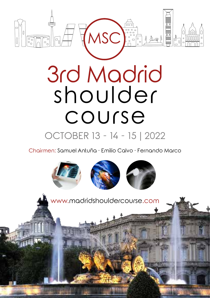

# 3rd Madrid shoulder course

### OCTOBER 13 - 14 - 15 | 2022

Chairmen: Samuel Antuña · Emilio Calvo · Fernando Marco

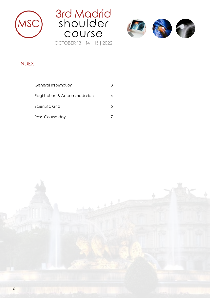





#### INDEX

| General Information          |   |
|------------------------------|---|
| Registration & Accommodation |   |
| Scientific Grid              | 5 |
| Post-Course day              |   |

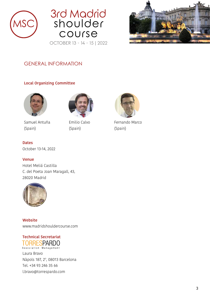





#### GENERAL INFORMATION

#### **Local Organizing Committee**



Samuel Antuña (Spain)



Emilio Calvo (Spain)



Fernando Marco (Spain)

#### **Dates**

October 13-14, 2022

#### **Venue**

Hotel Meliá Castilla C. del Poeta Joan Maragall, 43, 28020 Madrid



**Website** www.madridshouldercourse.com

## **TORRESPARDO**<br>**Association Management**

Laura Bravo Nàpols 187, 2º, 08013 Barcelona Tel. +34 93 246 35 66 l.bravo@torrespardo.com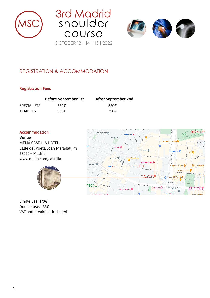





#### REGISTRATION & ACCOMMODATION

#### **Registration Fees**

|                    | <b>Before September 1st</b> | After September 2nd |
|--------------------|-----------------------------|---------------------|
| <b>SPECIALISTS</b> | 550 $\epsilon$              | 650E                |
| <b>TRAINEES</b>    | 300 $\epsilon$              | 350 $\epsilon$      |

#### **Accommodation**

**Venue** MELIÁ CASTILLA HOTEL Calle del Poeta Joan Maragall, 43 28020 – Madrid www.melia.com/castilla



Single use: 170€ Double use: 185€ VAT and breakfast included

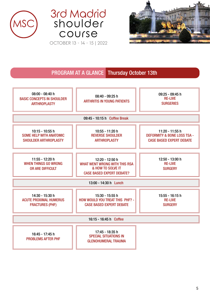





#### PROGRAM AT A GLANCE Thursday October 13th

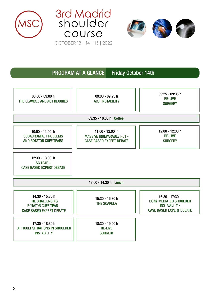





#### PROGRAM AT A GLANCE Friday October 14th

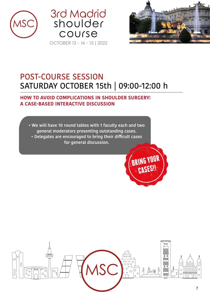





### POST-COURSE SESSION SATURDAY OCTOBER 15th | 09:00-12:00 h

#### **HOW TO AVOID COMPLICATIONS IN SHOULDER SURGERY: A CASE-BASED INTERACTIVE DISCUSSION**

**• We will have 10 round tables with 1 faculty each and two general moderators presenting outstanding cases. • Delegates are encouraged to bring their difficult cases for general discussion.**